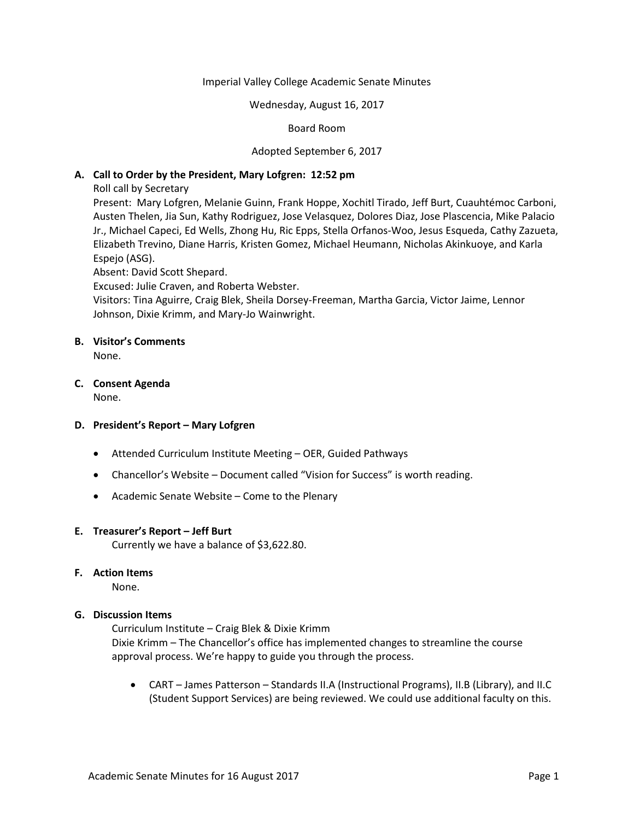#### Imperial Valley College Academic Senate Minutes

#### Wednesday, August 16, 2017

## Board Room

## Adopted September 6, 2017

## **A. Call to Order by the President, Mary Lofgren: 12:52 pm**

Roll call by Secretary

Present: Mary Lofgren, Melanie Guinn, Frank Hoppe, Xochitl Tirado, Jeff Burt, Cuauhtémoc Carboni, Austen Thelen, Jia Sun, Kathy Rodriguez, Jose Velasquez, Dolores Diaz, Jose Plascencia, Mike Palacio Jr., Michael Capeci, Ed Wells, Zhong Hu, Ric Epps, Stella Orfanos-Woo, Jesus Esqueda, Cathy Zazueta, Elizabeth Trevino, Diane Harris, Kristen Gomez, Michael Heumann, Nicholas Akinkuoye, and Karla Espejo (ASG).

Absent: David Scott Shepard.

Excused: Julie Craven, and Roberta Webster.

Visitors: Tina Aguirre, Craig Blek, Sheila Dorsey-Freeman, Martha Garcia, Victor Jaime, Lennor Johnson, Dixie Krimm, and Mary-Jo Wainwright.

## **B. Visitor's Comments**

None.

## **C. Consent Agenda**

None.

#### **D. President's Report – Mary Lofgren**

- Attended Curriculum Institute Meeting OER, Guided Pathways
- Chancellor's Website Document called "Vision for Success" is worth reading.
- Academic Senate Website Come to the Plenary

#### **E. Treasurer's Report – Jeff Burt**

Currently we have a balance of \$3,622.80.

#### **F. Action Items**

None.

# **G. Discussion Items**

Curriculum Institute – Craig Blek & Dixie Krimm Dixie Krimm – The Chancellor's office has implemented changes to streamline the course approval process. We're happy to guide you through the process.

• CART – James Patterson – Standards II.A (Instructional Programs), II.B (Library), and II.C (Student Support Services) are being reviewed. We could use additional faculty on this.